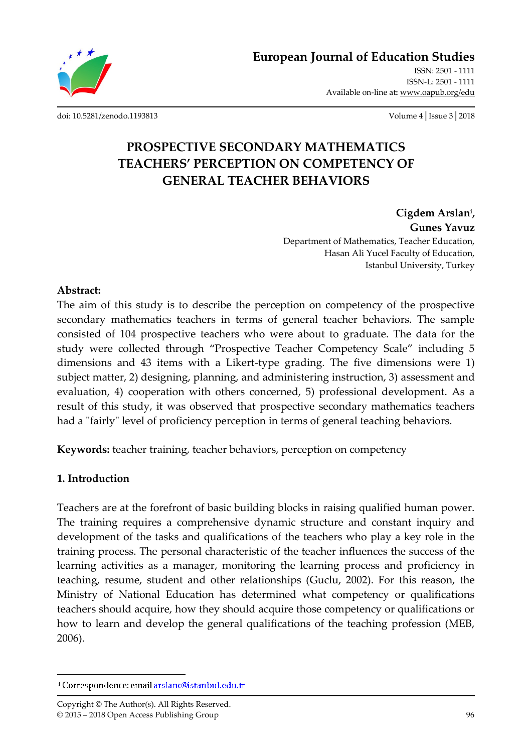**European Journal of Education Studies**

ISSN: 2501 - 1111 ISSN-L: 2501 - 1111 Available on-line at**:** www.oapub.org/edu

[doi: 10.5281/zenodo.1193813](http://dx.doi.org/10.5281/zenodo.1193813) Volume 4│Issue 3│2018

# **PROSPECTIVE SECONDARY MATHEMATICS TEACHERS' PERCEPTION ON COMPETENCY OF GENERAL TEACHER BEHAVIORS**

**Cigdem Arslan<sup>i</sup> , Gunes Yavuz** Department of Mathematics, Teacher Education, Hasan Ali Yucel Faculty of Education, Istanbul University, Turkey

### **Abstract:**

The aim of this study is to describe the perception on competency of the prospective secondary mathematics teachers in terms of general teacher behaviors. The sample consisted of 104 prospective teachers who were about to graduate. The data for the study were collected through "Prospective Teacher Competency Scale" including 5 dimensions and 43 items with a Likert-type grading. The five dimensions were 1) subject matter, 2) designing, planning, and administering instruction, 3) assessment and evaluation, 4) cooperation with others concerned, 5) professional development. As a result of this study, it was observed that prospective secondary mathematics teachers had a "fairly" level of proficiency perception in terms of general teaching behaviors.

**Keywords:** teacher training, teacher behaviors, perception on competency

## **1. Introduction**

 $\overline{\phantom{a}}$ 

Teachers are at the forefront of basic building blocks in raising qualified human power. The training requires a comprehensive dynamic structure and constant inquiry and development of the tasks and qualifications of the teachers who play a key role in the training process. The personal characteristic of the teacher influences the success of the learning activities as a manager, monitoring the learning process and proficiency in teaching, resume, student and other relationships (Guclu, 2002). For this reason, the Ministry of National Education has determined what competency or qualifications teachers should acquire, how they should acquire those competency or qualifications or how to learn and develop the general qualifications of the teaching profession (MEB, 2006).

<sup>&</sup>lt;sup>i</sup> Correspondence: email arslanc@istanbul.edu.tr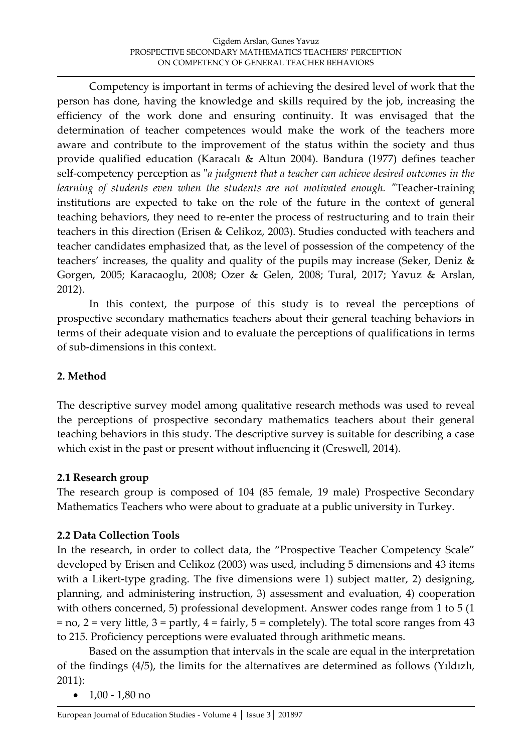Competency is important in terms of achieving the desired level of work that the person has done, having the knowledge and skills required by the job, increasing the efficiency of the work done and ensuring continuity. It was envisaged that the determination of teacher competences would make the work of the teachers more aware and contribute to the improvement of the status within the society and thus provide qualified education (Karacalı & Altun 2004). Bandura (1977) defines teacher self-competency perception as "*a judgment that a teacher can achieve desired outcomes in the learning of students even when the students are not motivated enough. "*Teacher-training institutions are expected to take on the role of the future in the context of general teaching behaviors, they need to re-enter the process of restructuring and to train their teachers in this direction (Erisen & Celikoz, 2003). Studies conducted with teachers and teacher candidates emphasized that, as the level of possession of the competency of the teachers' increases, the quality and quality of the pupils may increase (Seker, Deniz & Gorgen, 2005; Karacaoglu, 2008; Ozer & Gelen, 2008; Tural, 2017; Yavuz & Arslan, 2012).

In this context, the purpose of this study is to reveal the perceptions of prospective secondary mathematics teachers about their general teaching behaviors in terms of their adequate vision and to evaluate the perceptions of qualifications in terms of sub-dimensions in this context.

## **2. Method**

The descriptive survey model among qualitative research methods was used to reveal the perceptions of prospective secondary mathematics teachers about their general teaching behaviors in this study. The descriptive survey is suitable for describing a case which exist in the past or present without influencing it (Creswell, 2014).

## **2.1 Research group**

The research group is composed of 104 (85 female, 19 male) Prospective Secondary Mathematics Teachers who were about to graduate at a public university in Turkey.

## **2.2 Data Collection Tools**

In the research, in order to collect data, the "Prospective Teacher Competency Scale" developed by Erisen and Celikoz (2003) was used, including 5 dimensions and 43 items with a Likert-type grading. The five dimensions were 1) subject matter, 2) designing, planning, and administering instruction, 3) assessment and evaluation, 4) cooperation with others concerned, 5) professional development. Answer codes range from 1 to 5 (1  $=$  no, 2 = very little, 3 = partly, 4 = fairly, 5 = completely). The total score ranges from 43 to 215. Proficiency perceptions were evaluated through arithmetic means.

Based on the assumption that intervals in the scale are equal in the interpretation of the findings (4/5), the limits for the alternatives are determined as follows (Yıldızlı, 2011):

 $\bullet$  1,00 - 1,80 no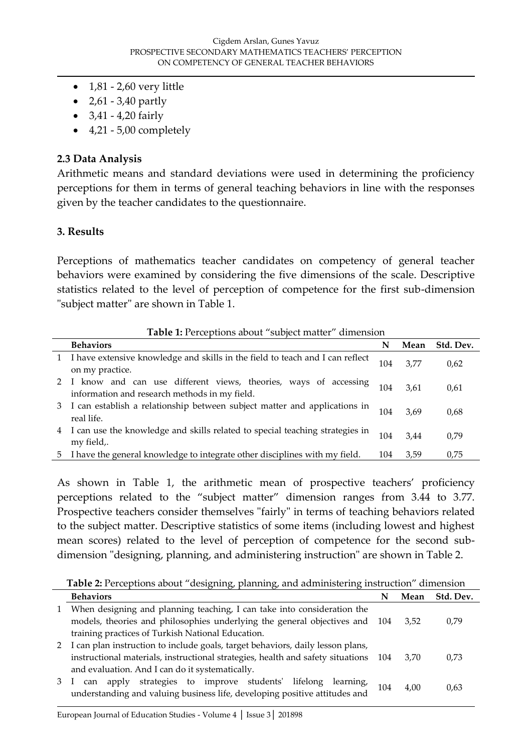- $\bullet$  1,81 2,60 very little
- $2,61 3,40$  partly
- $3,41 4,20$  fairly
- $\bullet$  4,21 5,00 completely

### **2.3 Data Analysis**

Arithmetic means and standard deviations were used in determining the proficiency perceptions for them in terms of general teaching behaviors in line with the responses given by the teacher candidates to the questionnaire.

#### **3. Results**

Perceptions of mathematics teacher candidates on competency of general teacher behaviors were examined by considering the five dimensions of the scale. Descriptive statistics related to the level of perception of competence for the first sub-dimension "subject matter" are shown in Table 1.

|    | <b>Table 1:</b> Perceptions about "subject matter" dimension                                                       |     |      |           |  |
|----|--------------------------------------------------------------------------------------------------------------------|-----|------|-----------|--|
|    | <b>Behaviors</b>                                                                                                   | N   | Mean | Std. Dev. |  |
|    | I have extensive knowledge and skills in the field to teach and I can reflect<br>on my practice.                   | 104 | 3.77 | 0,62      |  |
|    | 2 I know and can use different views, theories, ways of accessing<br>information and research methods in my field. | 104 | 3.61 | 0,61      |  |
| 3. | I can establish a relationship between subject matter and applications in<br>real life.                            | 104 | 3.69 | 0,68      |  |
|    | I can use the knowledge and skills related to special teaching strategies in<br>my field,.                         | 104 | 3.44 | 0.79      |  |
| 5. | I have the general knowledge to integrate other disciplines with my field.                                         | 104 | 3,59 | 0,75      |  |

**Table 1:** Perceptions about "subject matter" dimension

As shown in Table 1, the arithmetic mean of prospective teachers' proficiency perceptions related to the "subject matter" dimension ranges from 3.44 to 3.77. Prospective teachers consider themselves "fairly" in terms of teaching behaviors related to the subject matter. Descriptive statistics of some items (including lowest and highest mean scores) related to the level of perception of competence for the second subdimension "designing, planning, and administering instruction" are shown in Table 2.

**Table 2:** Perceptions about "designing, planning, and administering instruction" dimension

|              | <b>Behaviors</b>                                                                                                                           |     | Mean | Std. Dev. |
|--------------|--------------------------------------------------------------------------------------------------------------------------------------------|-----|------|-----------|
| $\mathbf{1}$ | When designing and planning teaching, I can take into consideration the                                                                    |     |      |           |
|              | models, theories and philosophies underlying the general objectives and 104                                                                |     | 3.52 | 0.79      |
|              | training practices of Turkish National Education.                                                                                          |     |      |           |
| 2            | I can plan instruction to include goals, target behaviors, daily lesson plans,                                                             |     |      |           |
|              | instructional materials, instructional strategies, health and safety situations 104                                                        |     | 3.70 | 0.73      |
|              | and evaluation. And I can do it systematically.                                                                                            |     |      |           |
| 3            | can apply strategies to improve students' lifelong learning,<br>understanding and valuing business life, developing positive attitudes and | 104 | 4,00 | 0.63      |
|              |                                                                                                                                            |     |      |           |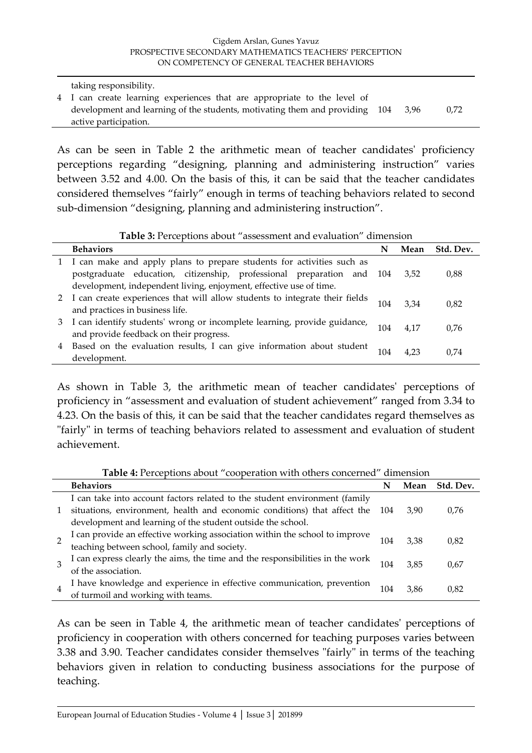#### Cigdem Arslan, Gunes Yavuz PROSPECTIVE SECONDARY MATHEMATICS TEACHERS' PERCEPTION ON COMPETENCY OF GENERAL TEACHER BEHAVIORS

taking responsibility.

4 I can create learning experiences that are appropriate to the level of development and learning of the students, motivating them and providing 104 3,96 0,72 active participation.

As can be seen in Table 2 the arithmetic mean of teacher candidates' proficiency perceptions regarding "designing, planning and administering instruction" varies between 3.52 and 4.00. On the basis of this, it can be said that the teacher candidates considered themselves "fairly" enough in terms of teaching behaviors related to second sub-dimension "designing, planning and administering instruction".

#### **Table 3:** Perceptions about "assessment and evaluation" dimension

|              | <b>Behaviors</b>                                                            | N   | Mean | Std. Dev. |
|--------------|-----------------------------------------------------------------------------|-----|------|-----------|
|              | I can make and apply plans to prepare students for activities such as       |     |      |           |
|              | postgraduate education, citizenship, professional preparation and 104       |     | 3,52 | 0,88      |
|              | development, independent living, enjoyment, effective use of time.          |     |      |           |
| $\mathbf{2}$ | I can create experiences that will allow students to integrate their fields | 104 | 3.34 | 0.82      |
|              | and practices in business life.                                             |     |      |           |
| 3            | I can identify students' wrong or incomplete learning, provide guidance,    | 104 | 4.17 | 0.76      |
|              | and provide feedback on their progress.                                     |     |      |           |
| 4            | Based on the evaluation results, I can give information about student       | 104 | 4.23 | 0.74      |
|              | development.                                                                |     |      |           |

As shown in Table 3, the arithmetic mean of teacher candidates' perceptions of proficiency in "assessment and evaluation of student achievement" ranged from 3.34 to 4.23. On the basis of this, it can be said that the teacher candidates regard themselves as "fairly" in terms of teaching behaviors related to assessment and evaluation of student achievement.

**Table 4:** Perceptions about "cooperation with others concerned" dimension

|  | <b>Behaviors</b>                                                              | N   | Mean | Std. Dev. |
|--|-------------------------------------------------------------------------------|-----|------|-----------|
|  | I can take into account factors related to the student environment (family    |     |      |           |
|  | situations, environment, health and economic conditions) that affect the 104  |     | 3.90 | 0.76      |
|  | development and learning of the student outside the school.                   |     |      |           |
|  | I can provide an effective working association within the school to improve   | 104 | 3.38 | 0.82      |
|  | teaching between school, family and society.                                  |     |      |           |
|  | I can express clearly the aims, the time and the responsibilities in the work | 104 | 3.85 | 0.67      |
|  | of the association.                                                           |     |      |           |
|  | I have knowledge and experience in effective communication, prevention        | 104 | 3.86 | 0.82      |
|  | of turmoil and working with teams.                                            |     |      |           |

As can be seen in Table 4, the arithmetic mean of teacher candidates' perceptions of proficiency in cooperation with others concerned for teaching purposes varies between 3.38 and 3.90. Teacher candidates consider themselves "fairly" in terms of the teaching behaviors given in relation to conducting business associations for the purpose of teaching.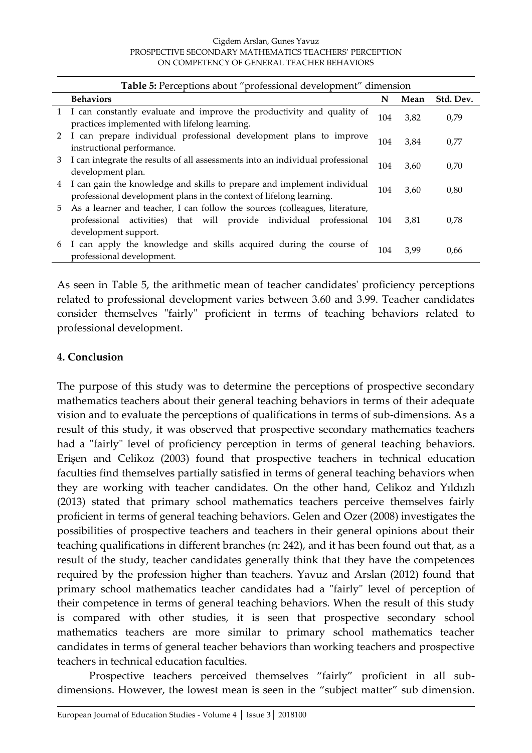| Table 5: Perceptions about "professional development" dimension |                                                                                                                                                                              |     |      |           |
|-----------------------------------------------------------------|------------------------------------------------------------------------------------------------------------------------------------------------------------------------------|-----|------|-----------|
|                                                                 | <b>Behaviors</b>                                                                                                                                                             | N   | Mean | Std. Dev. |
|                                                                 | I can constantly evaluate and improve the productivity and quality of<br>practices implemented with lifelong learning.                                                       | 104 | 3,82 | 0,79      |
| 2                                                               | I can prepare individual professional development plans to improve<br>instructional performance.                                                                             | 104 | 3,84 | 0,77      |
| 3                                                               | I can integrate the results of all assessments into an individual professional<br>development plan.                                                                          | 104 | 3,60 | 0,70      |
| 4                                                               | I can gain the knowledge and skills to prepare and implement individual<br>professional development plans in the context of lifelong learning.                               | 104 | 3,60 | 0,80      |
| 5.                                                              | As a learner and teacher, I can follow the sources (colleagues, literature,<br>activities) that will provide individual professional<br>professional<br>development support. | 104 | 3,81 | 0,78      |
| 6                                                               | I can apply the knowledge and skills acquired during the course of<br>professional development.                                                                              | 104 | 3.99 | 0,66      |

As seen in Table 5, the arithmetic mean of teacher candidates' proficiency perceptions related to professional development varies between 3.60 and 3.99. Teacher candidates consider themselves "fairly" proficient in terms of teaching behaviors related to professional development.

#### **4. Conclusion**

The purpose of this study was to determine the perceptions of prospective secondary mathematics teachers about their general teaching behaviors in terms of their adequate vision and to evaluate the perceptions of qualifications in terms of sub-dimensions. As a result of this study, it was observed that prospective secondary mathematics teachers had a "fairly" level of proficiency perception in terms of general teaching behaviors. Erişen and Celikoz (2003) found that prospective teachers in technical education faculties find themselves partially satisfied in terms of general teaching behaviors when they are working with teacher candidates. On the other hand, Celikoz and Yıldızlı (2013) stated that primary school mathematics teachers perceive themselves fairly proficient in terms of general teaching behaviors. Gelen and Ozer (2008) investigates the possibilities of prospective teachers and teachers in their general opinions about their teaching qualifications in different branches (n: 242), and it has been found out that, as a result of the study, teacher candidates generally think that they have the competences required by the profession higher than teachers. Yavuz and Arslan (2012) found that primary school mathematics teacher candidates had a "fairly" level of perception of their competence in terms of general teaching behaviors. When the result of this study is compared with other studies, it is seen that prospective secondary school mathematics teachers are more similar to primary school mathematics teacher candidates in terms of general teacher behaviors than working teachers and prospective teachers in technical education faculties.

Prospective teachers perceived themselves "fairly" proficient in all subdimensions. However, the lowest mean is seen in the "subject matter" sub dimension.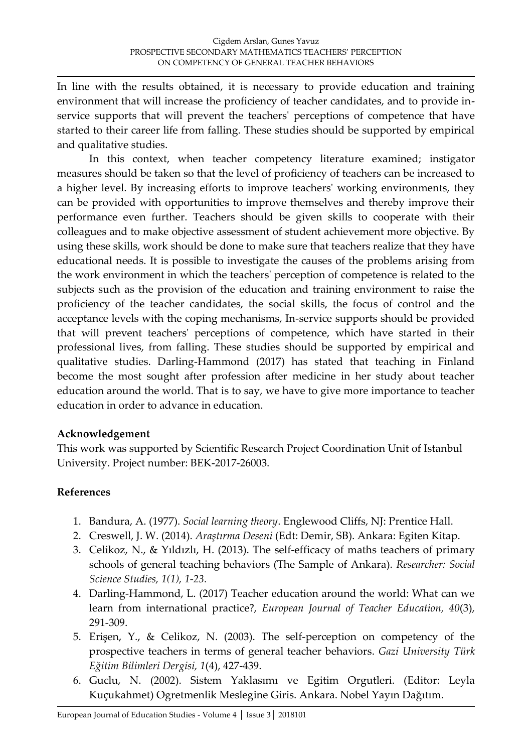In line with the results obtained, it is necessary to provide education and training environment that will increase the proficiency of teacher candidates, and to provide inservice supports that will prevent the teachers' perceptions of competence that have started to their career life from falling. These studies should be supported by empirical and qualitative studies.

In this context, when teacher competency literature examined; instigator measures should be taken so that the level of proficiency of teachers can be increased to a higher level. By increasing efforts to improve teachers' working environments, they can be provided with opportunities to improve themselves and thereby improve their performance even further. Teachers should be given skills to cooperate with their colleagues and to make objective assessment of student achievement more objective. By using these skills, work should be done to make sure that teachers realize that they have educational needs. It is possible to investigate the causes of the problems arising from the work environment in which the teachers' perception of competence is related to the subjects such as the provision of the education and training environment to raise the proficiency of the teacher candidates, the social skills, the focus of control and the acceptance levels with the coping mechanisms, In-service supports should be provided that will prevent teachers' perceptions of competence, which have started in their professional lives, from falling. These studies should be supported by empirical and qualitative studies. Darling-Hammond (2017) has stated that teaching in Finland become the most sought after profession after medicine in her study about teacher education around the world. That is to say, we have to give more importance to teacher education in order to advance in education.

### **Acknowledgement**

This work was supported by Scientific Research Project Coordination Unit of Istanbul University. Project number: BEK-2017-26003.

## **References**

- 1. Bandura, A. (1977). *Social learning theory*. Englewood Cliffs, NJ: Prentice Hall.
- 2. Creswell, J. W. (2014). *Araştırma Deseni* (Edt: Demir, SB). Ankara: Egiten Kitap.
- 3. Celikoz, N., & Yıldızlı, H. (2013). The self-efficacy of maths teachers of primary schools of general teaching behaviors (The Sample of Ankara). *Researcher: Social Science Studies, 1(1), 1-23.*
- 4. Darling-Hammond, L. (2017) Teacher education around the world: What can we learn from international practice?, *European Journal of Teacher Education, 40*(3), 291-309.
- 5. Erişen, Y., & Celikoz, N. (2003). The self-perception on competency of the prospective teachers in terms of general teacher behaviors. *Gazi University Türk Eğitim Bilimleri Dergisi, 1*(4), 427-439.
- 6. Guclu, N. (2002). Sistem Yaklasımı ve Egitim Orgutleri. (Editor: Leyla Kuçukahmet) Ogretmenlik Meslegine Giris. Ankara. Nobel Yayın Dağıtım.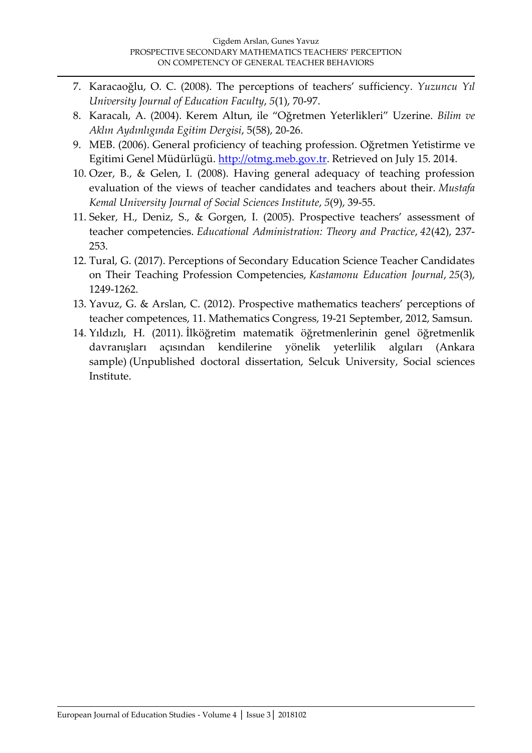- 7. Karacaoğlu, O. C. (2008). The perceptions of teachers' sufficiency. *Yuzuncu Yıl University Journal of Education Faculty*, *5*(1), 70-97.
- 8. Karacalı, A. (2004). Kerem Altun, ile "Oğretmen Yeterlikleri" Uzerine. *Bilim ve Aklın Aydınlıgında Egitim Dergisi*, 5(58), 20-26.
- 9. MEB. (2006). General proficiency of teaching profession. Oğretmen Yetistirme ve Egitimi Genel Müdürlügü. [http://otmg.meb.gov.tr.](http://otmg.meb.gov.tr/) Retrieved on July 15. 2014.
- 10. Ozer, B., & Gelen, I. (2008). Having general adequacy of teaching profession evaluation of the views of teacher candidates and teachers about their. *Mustafa Kemal University Journal of Social Sciences Institute*, *5*(9), 39-55.
- 11. Seker, H., Deniz, S., & Gorgen, I. (2005). Prospective teachers' assessment of teacher competencies. *Educational Administration: Theory and Practice*, *42*(42), 237- 253.
- 12. Tural, G. (2017). Perceptions of Secondary Education Science Teacher Candidates on Their Teaching Profession Competencies, *Kastamonu Education Journal*, *25*(3), 1249-1262.
- 13. Yavuz, G. & Arslan, C. (2012). Prospective mathematics teachers' perceptions of teacher competences, 11. Mathematics Congress, 19-21 September, 2012, Samsun.
- 14. Yıldızlı, H. (2011). İlköğretim matematik öğretmenlerinin genel öğretmenlik davranışları açısından kendilerine yönelik yeterlilik algıları (Ankara sample) (Unpublished doctoral dissertation, Selcuk University, Social sciences Institute.